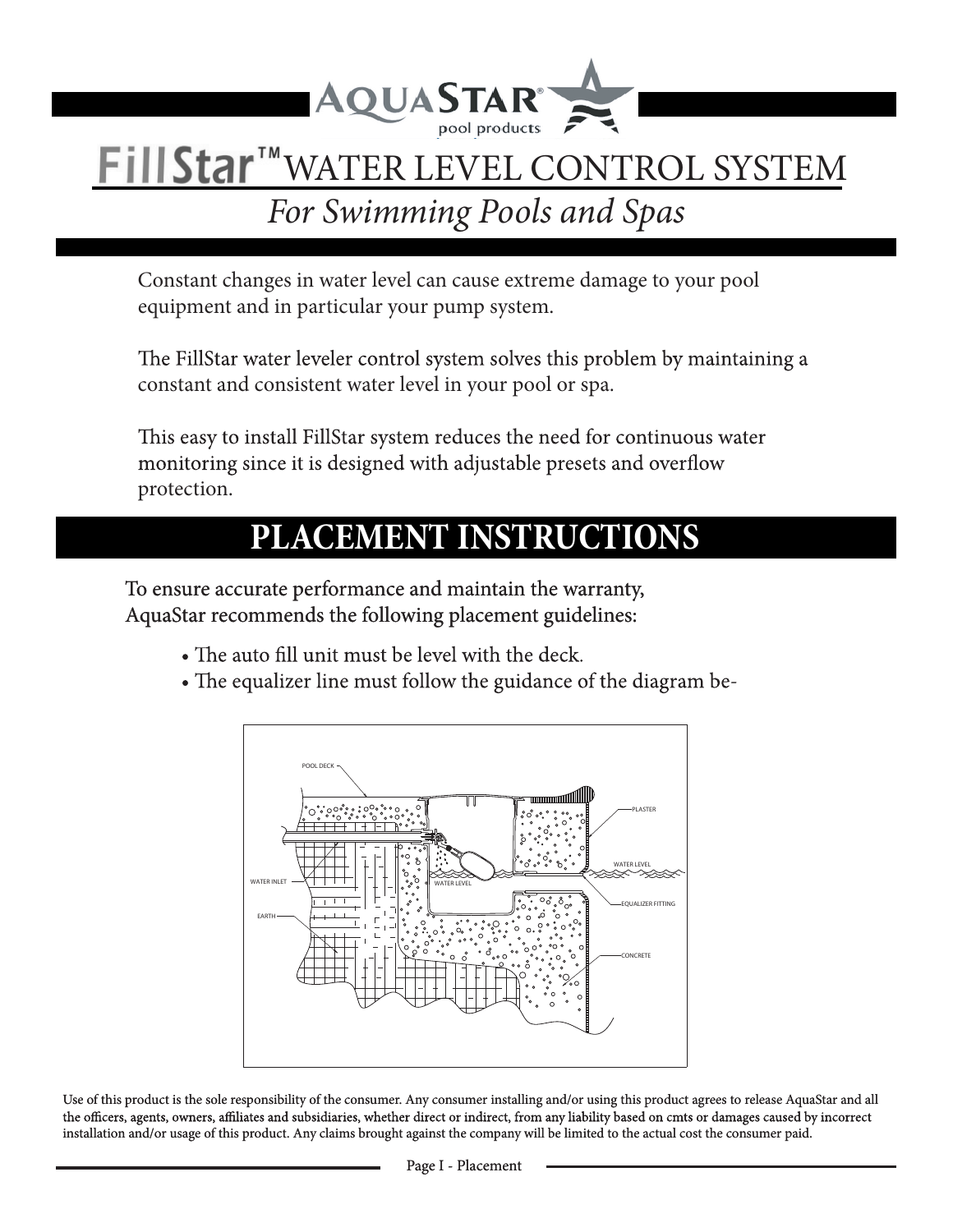

# **FillStar™WATER LEVEL CONTROL SYSTEM**

## *For Swimming Pools and Spas*

Constant changes in water level can cause extreme damage to your pool equipment and in particular your pump system.

The FillStar water leveler control system solves this problem by maintaining a constant and consistent water level in your pool or spa.

This easy to install FillStar system reduces the need for continuous water monitoring since it is designed with adjustable presets and overflow protection.

## **PLACEMENT INSTRUCTIONS**

To ensure accurate performance and maintain the warranty, AquaStar recommends the following placement guidelines:

- The auto fill unit must be level with the deck.
- The equalizer line must follow the guidance of the diagram be-



Use of this product is the sole responsibility of the consumer. Any consumer installing and/or using this product agrees to release AquaStar and all the officers, agents, owners, affiliates and subsidiaries, whether direct or indirect, from any liability based on cmts or damages caused by incorrect installation and/or usage of this product. Any claims brought against the company will be limited to the actual cost the consumer paid.